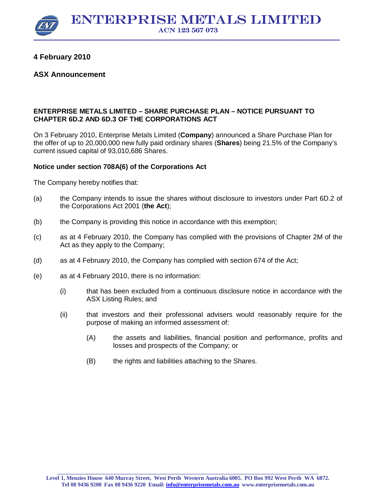\_\_\_\_\_\_\_\_\_\_\_\_\_\_\_\_\_\_\_\_\_\_\_\_\_\_\_\_\_\_\_\_\_\_\_\_\_\_\_\_\_\_\_\_\_\_\_\_\_\_\_\_\_\_\_\_\_\_\_\_\_\_\_\_\_\_\_\_\_\_\_\_\_\_\_\_\_\_\_\_\_\_\_\_\_\_\_\_\_\_\_\_\_\_\_\_\_ \_\_\_\_\_\_\_\_\_\_\_\_\_\_\_\_\_

## **4 February 2010**

## **ASX Announcement**

## **ENTERPRISE METALS LIMITED – SHARE PURCHASE PLAN – NOTICE PURSUANT TO CHAPTER 6D.2 AND 6D.3 OF THE CORPORATIONS ACT**

On 3 February 2010, Enterprise Metals Limited (**Company**) announced a Share Purchase Plan for the offer of up to 20,000,000 new fully paid ordinary shares (**Shares**) being 21.5% of the Company's current issued capital of 93,010,686 Shares.

## **Notice under section 708A(6) of the Corporations Act**

The Company hereby notifies that:

- (a) the Company intends to issue the shares without disclosure to investors under Part 6D.2 of the Corporations Act 2001 (**the Act**);
- (b) the Company is providing this notice in accordance with this exemption;
- (c) as at 4 February 2010, the Company has complied with the provisions of Chapter 2M of the Act as they apply to the Company;
- (d) as at 4 February 2010, the Company has complied with section 674 of the Act;
- (e) as at 4 February 2010, there is no information:
	- (i) that has been excluded from a continuous disclosure notice in accordance with the ASX Listing Rules; and
	- (ii) that investors and their professional advisers would reasonably require for the purpose of making an informed assessment of:
		- (A) the assets and liabilities, financial position and performance, profits and losses and prospects of the Company; or
		- (B) the rights and liabilities attaching to the Shares.